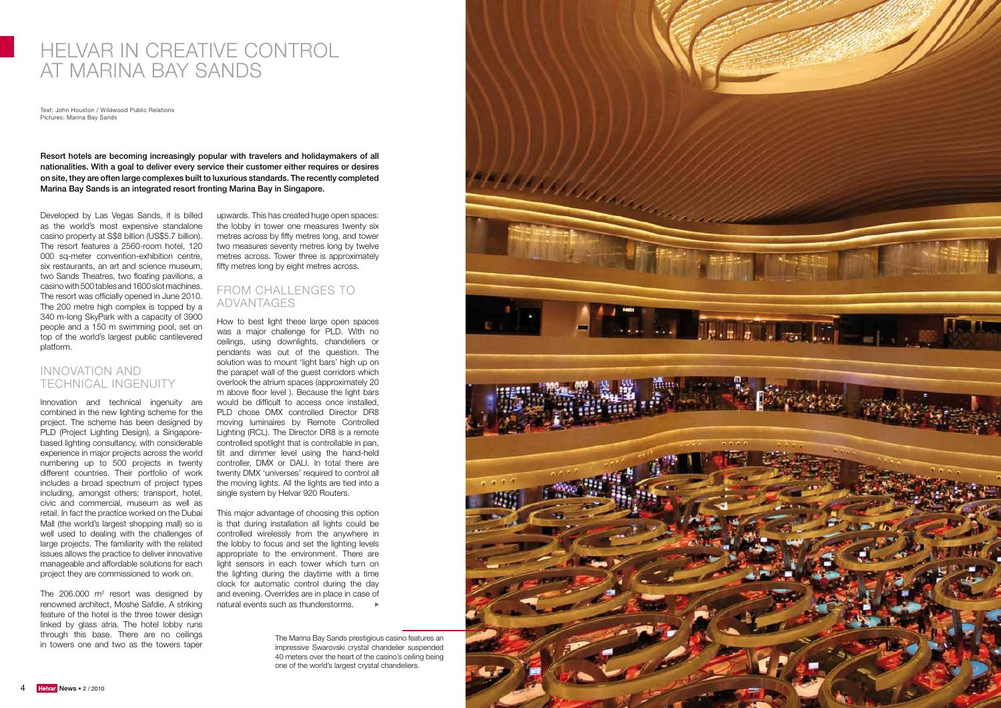

# HELVAR IN CREATIVE CONTROL AT MARINA BAY SANDS

Text: John Houston / Wildwood Public Relations Pictures: Marina Bay Sands

Resort hotels are becoming increasingly popular with travelers and holidaymakers of all nationalities. With a goal to deliver every service their customer either requires or desires on site, they are often large complexes built to luxurious standards. The recently completed Marina Bay Sands is an integrated resort fronting Marina Bay in Singapore.

Developed by Las Vegas Sands, it is billed as the world's most expensive standalone casino property at S\$8 billion (US\$5.7 billion). The resort features a 2560-room hotel, 120 000 sq-meter convention-exhibition centre, six restaurants, an art and science museum, two Sands Theatres, two floating pavilions, a casino with 500 tables and 1600 slot machines. The resort was officially opened in June 2010. The 200 metre high complex is topped by a 340 m-long SkyPark with a capacity of 3900 people and a 150 m swimming pool, set on top of the world's largest public cantilevered platform.

The  $206.000$  m<sup>2</sup> resort was designed by renowned architect, Moshe Safdie. A striking feature of the hotel is the three tower design linked by glass atria. The hotel lobby runs through this base. There are no ceilings in towers one and two as the towers taper

## INNOVATION AND TECHNICAL INGENUITY

## FROM CHALLENGES TO ADVANTAGES

How to best light these large open spaces was a major challenge for PLD. With no ceilings, using downlights, chandeliers or pendants was out of the question. The solution was to mount 'light bars' high up on the parapet wall of the guest corridors which overlook the atrium spaces (approximately 20 m above floor level ). Because the light bars would be difficult to access once installed, PLD chose DMX controlled Director DR8 moving luminaires by Remote Controlled Lighting (RCL). The Director DR8 is a remote controlled spotlight that is controllable in pan, tilt and dimmer level using the hand-held controller, DMX or DALI. In total there are twenty DMX 'universes' required to control all the moving lights. All the lights are tied into a single system by Helvar 920 Routers.

Innovation and technical ingenuity are combined in the new lighting scheme for the project. The scheme has been designed by PLD (Project Lighting Design), a Singaporebased lighting consultancy, with considerable experience in major projects across the world numbering up to 500 projects in twenty different countries. Their portfolio of work includes a broad spectrum of project types including, amongst others; transport, hotel, civic and commercial, museum as well as retail. In fact the practice worked on the Dubai Mall (the world's largest shopping mall) so is well used to dealing with the challenges of large projects. The familiarity with the related issues allows the practice to deliver innovative manageable and affordable solutions for each project they are commissioned to work on.

upwards. This has created huge open spaces: the lobby in tower one measures twenty six metres across by fifty metres long, and tower two measures seventy metres long by twelve metres across. Tower three is approximately fifty metres long by eight metres across.

This major advantage of choosing this option is that during installation all lights could be controlled wirelessly from the anywhere in the lobby to focus and set the lighting levels appropriate to the environment. There are light sensors in each tower which turn on the lighting during the daytime with a time clock for automatic control during the day and evening. Overrides are in place in case of natural events such as thunderstorms.

> The Marina Bay Sands prestigious casino features an impressive Swarovski crystal chandelier suspended 40 meters over the heart of the casino's ceiling being one of the world's largest crystal chandeliers.